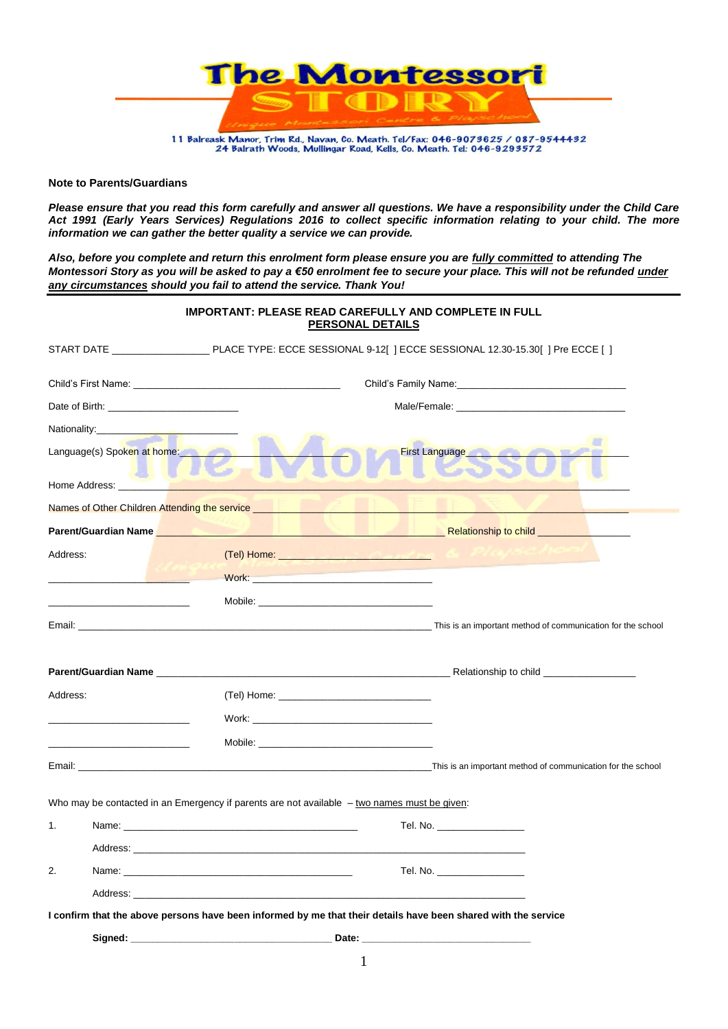

# **Note to Parents/Guardians**

*Please ensure that you read this form carefully and answer all questions. We have a responsibility under the Child Care Act 1991 (Early Years Services) Regulations 2016 to collect specific information relating to your child. The more information we can gather the better quality a service we can provide.* 

*Also, before you complete and return this enrolment form please ensure you are fully committed to attending The Montessori Story as you will be asked to pay a €50 enrolment fee to secure your place. This will not be refunded under any circumstances should you fail to attend the service. Thank You!*

|               | <b>IMPORTANT: PLEASE READ CAREFULLY AND COMPLETE IN FULL</b><br><u>PERSONAL DETAILS</u>                                                                                                                                                                                                                                    |
|---------------|----------------------------------------------------------------------------------------------------------------------------------------------------------------------------------------------------------------------------------------------------------------------------------------------------------------------------|
|               |                                                                                                                                                                                                                                                                                                                            |
|               |                                                                                                                                                                                                                                                                                                                            |
|               | Date of Birth: <u>contract and the set of Birth:</u>                                                                                                                                                                                                                                                                       |
|               |                                                                                                                                                                                                                                                                                                                            |
|               | Language(s) Spoken at home:<br>First Language                                                                                                                                                                                                                                                                              |
| Home Address: |                                                                                                                                                                                                                                                                                                                            |
|               | Names of Other Children Attending the service <b>Contract Contract Contract Contract Contract Contract Contract Contract Contract Contract Contract Contract Contract Contract Contract Contract Contract Contract Contract Cont</b>                                                                                       |
|               | Parent/Guardian Name <b>And American Contract of Contract Contract of Contract Contract Online Contract Online Contract Online Contract Online Contract Online Contract Online Contract Online Contract Online Contract Online C</b>                                                                                       |
| Address:      |                                                                                                                                                                                                                                                                                                                            |
|               | <b>Work:</b> Work: We have a state of the state of the state of the state of the state of the state of the state of the state of the state of the state of the state of the state of the state of the state of the state of the sta                                                                                        |
|               | <u> 1980 - Johann Harry Harry Harry Harry Harry Harry Harry Harry Harry Harry Harry Harry Harry Harry Harry Harry Harry Harry Harry Harry Harry Harry Harry Harry Harry Harry Harry Harry Harry Harry Harry Harry Harry Harry Ha</u>                                                                                       |
|               | Email: University of the school and the school of communication for the school                                                                                                                                                                                                                                             |
|               |                                                                                                                                                                                                                                                                                                                            |
|               |                                                                                                                                                                                                                                                                                                                            |
| Address:      |                                                                                                                                                                                                                                                                                                                            |
|               | Work: where the contract of the contract of the contract of the contract of the contract of the contract of the contract of the contract of the contract of the contract of the contract of the contract of the contract of th                                                                                             |
|               |                                                                                                                                                                                                                                                                                                                            |
|               | This is an important method of communication for the school communication for the school<br>Email: Email: Email: Email: Email: Email: Email: Email: Email: Email: Email: Email: Email: Email: Email: Email: Email: Email: Email: Email: Email: Email: Email: Email: Email: Email: Email: Email: Email: Email: Email: Email |
|               | Who may be contacted in an Emergency if parents are not available $-$ two names must be given:                                                                                                                                                                                                                             |
| 1.            | Tel. No. __________________                                                                                                                                                                                                                                                                                                |
|               |                                                                                                                                                                                                                                                                                                                            |
| 2.            | Name: Name: Name: Name: Name: Name: Name: Name: Name: Name: Name: Name: Name: Name: Name: Name: Name: Name: Name: Name: Name: Name: Name: Name: Name: Name: Name: Name: Name: Name: Name: Name: Name: Name: Name: Name: Name:<br>Tel. No. __________________                                                               |
|               |                                                                                                                                                                                                                                                                                                                            |
|               | I confirm that the above persons have been informed by me that their details have been shared with the service                                                                                                                                                                                                             |
|               | Signed: <u>contract and contract and contract and contract and contract and contract and contract and contract and contract and contract and contract and contract and contract and contract and contract and contract and contr</u>                                                                                       |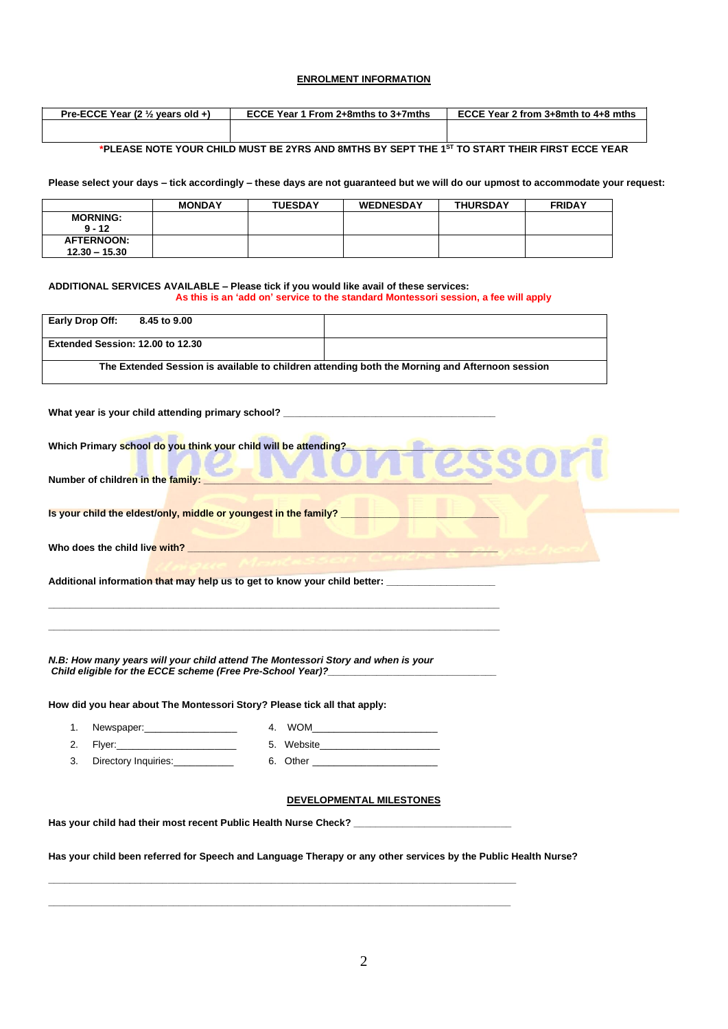# **ENROLMENT INFORMATION**

| Pre-ECCE Year (2 $\frac{1}{2}$ years old +) | ECCE Year 1 From 2+8mths to 3+7mths | ECCE Year 2 from $3+8$ mth to $4+8$ mths |
|---------------------------------------------|-------------------------------------|------------------------------------------|
|                                             |                                     |                                          |

# **\*PLEASE NOTE YOUR CHILD MUST BE 2YRS AND 8MTHS BY SEPT THE 1ST TO START THEIR FIRST ECCE YEAR**

**Please select your days – tick accordingly – these days are not guaranteed but we will do our upmost to accommodate your request:**

|                   | <b>MONDAY</b> | <b>TUESDAY</b> | <b>WEDNESDAY</b> | <b>THURSDAY</b> | <b>FRIDAY</b> |
|-------------------|---------------|----------------|------------------|-----------------|---------------|
| <b>MORNING:</b>   |               |                |                  |                 |               |
| $9 - 12$          |               |                |                  |                 |               |
| <b>AFTERNOON:</b> |               |                |                  |                 |               |
| $12.30 - 15.30$   |               |                |                  |                 |               |

#### **ADDITIONAL SERVICES AVAILABLE – Please tick if you would like avail of these services: As this is an 'add on' service to the standard Montessori session, a fee will apply**

| Early Drop Off:<br>8.45 to 9.00                                                  |                                                                                                                                                                                                                                      |
|----------------------------------------------------------------------------------|--------------------------------------------------------------------------------------------------------------------------------------------------------------------------------------------------------------------------------------|
| Extended Session: 12.00 to 12.30                                                 |                                                                                                                                                                                                                                      |
|                                                                                  | The Extended Session is available to children attending both the Morning and Afternoon session                                                                                                                                       |
|                                                                                  |                                                                                                                                                                                                                                      |
|                                                                                  | What year is your child attending primary school? ______________________________                                                                                                                                                     |
| Which Primary school do you think your child will be attending?                  |                                                                                                                                                                                                                                      |
|                                                                                  |                                                                                                                                                                                                                                      |
| Number of children in the family:                                                |                                                                                                                                                                                                                                      |
|                                                                                  |                                                                                                                                                                                                                                      |
|                                                                                  | Is your child the eldest/only, middle or youngest in the family? <b>The contract of the contract of the contract of the contract of the contract of the contract of the contract of the contract of the contract of the contract</b> |
|                                                                                  |                                                                                                                                                                                                                                      |
|                                                                                  |                                                                                                                                                                                                                                      |
|                                                                                  | Additional information that may help us to get to know your child better:                                                                                                                                                            |
|                                                                                  |                                                                                                                                                                                                                                      |
|                                                                                  |                                                                                                                                                                                                                                      |
|                                                                                  |                                                                                                                                                                                                                                      |
|                                                                                  |                                                                                                                                                                                                                                      |
| N.B: How many years will your child attend The Montessori Story and when is your | Child eligible for the ECCE scheme (Free Pre-School Year)?                                                                                                                                                                           |
|                                                                                  |                                                                                                                                                                                                                                      |
| How did you hear about The Montessori Story? Please tick all that apply:         |                                                                                                                                                                                                                                      |
| Newspaper:_____________________<br>1.                                            | 4. WOM and the state of the state of the state of the state of the state of the state of the state of the state of the state of the state of the state of the state of the state of the state of the state of the state of the       |
| Flyer: North March 1999<br>2.                                                    |                                                                                                                                                                                                                                      |
| Directory Inquiries:___________<br>3.                                            |                                                                                                                                                                                                                                      |
|                                                                                  |                                                                                                                                                                                                                                      |
|                                                                                  |                                                                                                                                                                                                                                      |
|                                                                                  | <b>DEVELOPMENTAL MILESTONES</b>                                                                                                                                                                                                      |
|                                                                                  |                                                                                                                                                                                                                                      |
|                                                                                  | Has your child had their most recent Public Health Nurse Check? _________________                                                                                                                                                    |

**\_\_\_\_\_\_\_\_\_\_\_\_\_\_\_\_\_\_\_\_\_\_\_\_\_\_\_\_\_\_\_\_\_\_\_\_\_\_\_\_\_\_\_\_\_\_\_\_\_\_\_\_\_\_\_\_\_\_\_\_\_\_\_\_\_\_\_\_\_\_\_\_\_\_\_\_\_\_\_\_\_\_\_\_\_\_ \_\_\_\_\_\_\_\_\_\_\_\_\_\_\_\_\_\_\_\_\_\_\_\_\_\_\_\_\_\_\_\_\_\_\_\_\_\_\_\_\_\_\_\_\_\_\_\_\_\_\_\_\_\_\_\_\_\_\_\_\_\_\_\_\_\_\_\_\_\_\_\_\_\_\_\_\_\_\_\_\_\_\_\_\_**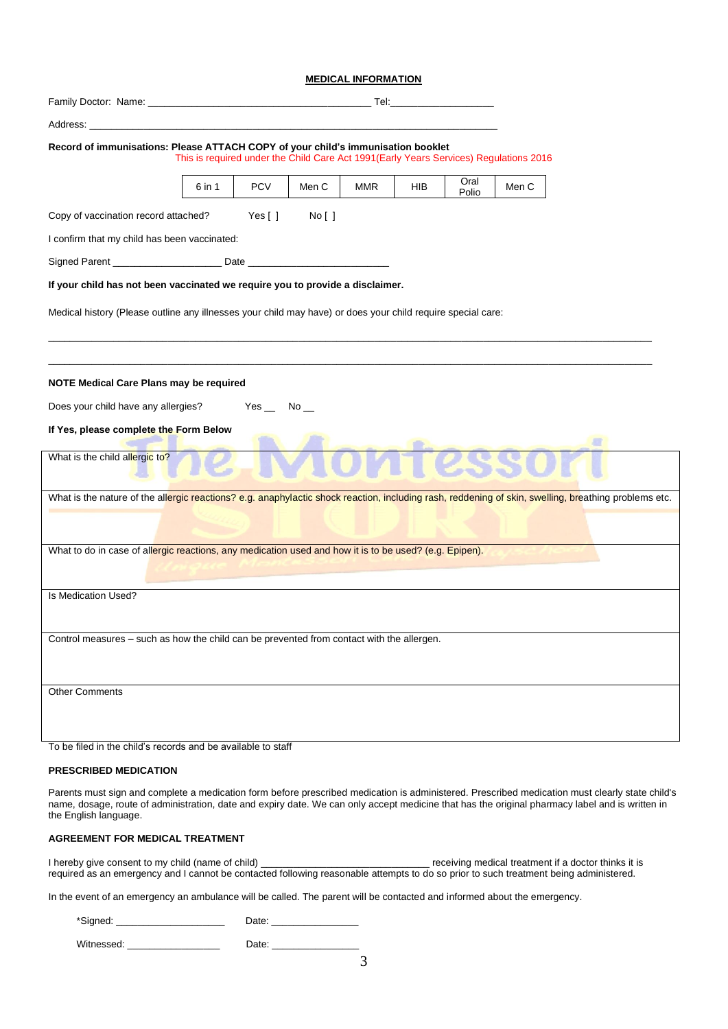#### **MEDICAL INFORMATION**

|                                                                                                                                                      |        |               |                                                                                        |            |     | <b>Tel:</b> The contract of the contract of the contract of the contract of the contract of the contract of the contract of the contract of the contract of the contract of the contract of the contract of the contract of the con |       |  |
|------------------------------------------------------------------------------------------------------------------------------------------------------|--------|---------------|----------------------------------------------------------------------------------------|------------|-----|-------------------------------------------------------------------------------------------------------------------------------------------------------------------------------------------------------------------------------------|-------|--|
| Address: _                                                                                                                                           |        |               |                                                                                        |            |     |                                                                                                                                                                                                                                     |       |  |
| Record of immunisations: Please ATTACH COPY of your child's immunisation booklet                                                                     |        |               | This is required under the Child Care Act 1991 (Early Years Services) Regulations 2016 |            |     |                                                                                                                                                                                                                                     |       |  |
|                                                                                                                                                      | 6 in 1 | <b>PCV</b>    | Men C                                                                                  | <b>MMR</b> | HIB | Oral<br>Polio                                                                                                                                                                                                                       | Men C |  |
| Copy of vaccination record attached?                                                                                                                 |        | Yes $[ ]$     | No [ ]                                                                                 |            |     |                                                                                                                                                                                                                                     |       |  |
| I confirm that my child has been vaccinated:                                                                                                         |        |               |                                                                                        |            |     |                                                                                                                                                                                                                                     |       |  |
|                                                                                                                                                      |        |               |                                                                                        |            |     |                                                                                                                                                                                                                                     |       |  |
| If your child has not been vaccinated we require you to provide a disclaimer.                                                                        |        |               |                                                                                        |            |     |                                                                                                                                                                                                                                     |       |  |
| Medical history (Please outline any illnesses your child may have) or does your child require special care:                                          |        |               |                                                                                        |            |     |                                                                                                                                                                                                                                     |       |  |
| NOTE Medical Care Plans may be required<br>Does your child have any allergies?<br>If Yes, please complete the Form Below                             |        | $Yes$ No $\_$ |                                                                                        |            |     |                                                                                                                                                                                                                                     |       |  |
| What is the child allergic to?                                                                                                                       |        |               |                                                                                        |            |     |                                                                                                                                                                                                                                     |       |  |
| What is the nature of the allergic reactions? e.g. anaphylactic shock reaction, including rash, reddening of skin, swelling, breathing problems etc. |        |               |                                                                                        |            |     |                                                                                                                                                                                                                                     |       |  |
| What to do in case of allergic reactions, any medication used and how it is to be used? (e.g. Epipen).                                               |        |               |                                                                                        |            |     |                                                                                                                                                                                                                                     |       |  |
| Is Medication Used?                                                                                                                                  |        |               |                                                                                        |            |     |                                                                                                                                                                                                                                     |       |  |
| Control measures - such as how the child can be prevented from contact with the allergen.                                                            |        |               |                                                                                        |            |     |                                                                                                                                                                                                                                     |       |  |
| <b>Other Comments</b>                                                                                                                                |        |               |                                                                                        |            |     |                                                                                                                                                                                                                                     |       |  |
| To be filed in the child's records and be available to staff                                                                                         |        |               |                                                                                        |            |     |                                                                                                                                                                                                                                     |       |  |

### **PRESCRIBED MEDICATION**

Parents must sign and complete a medication form before prescribed medication is administered. Prescribed medication must clearly state child's name, dosage, route of administration, date and expiry date. We can only accept medicine that has the original pharmacy label and is written in the English language.

# **AGREEMENT FOR MEDICAL TREATMENT**

I hereby give consent to my child (name of child) \_\_\_\_\_\_\_\_\_\_\_\_\_\_\_\_\_\_\_\_\_\_\_\_\_\_\_\_\_\_\_\_\_\_ receiving medical treatment if a doctor thinks it is required as an emergency and I cannot be contacted following reasonable attempts to do so prior to such treatment being administered.

In the event of an emergency an ambulance will be called. The parent will be contacted and informed about the emergency.

| *Signed:   | Date: |  |  |
|------------|-------|--|--|
| Witnessed: | Date: |  |  |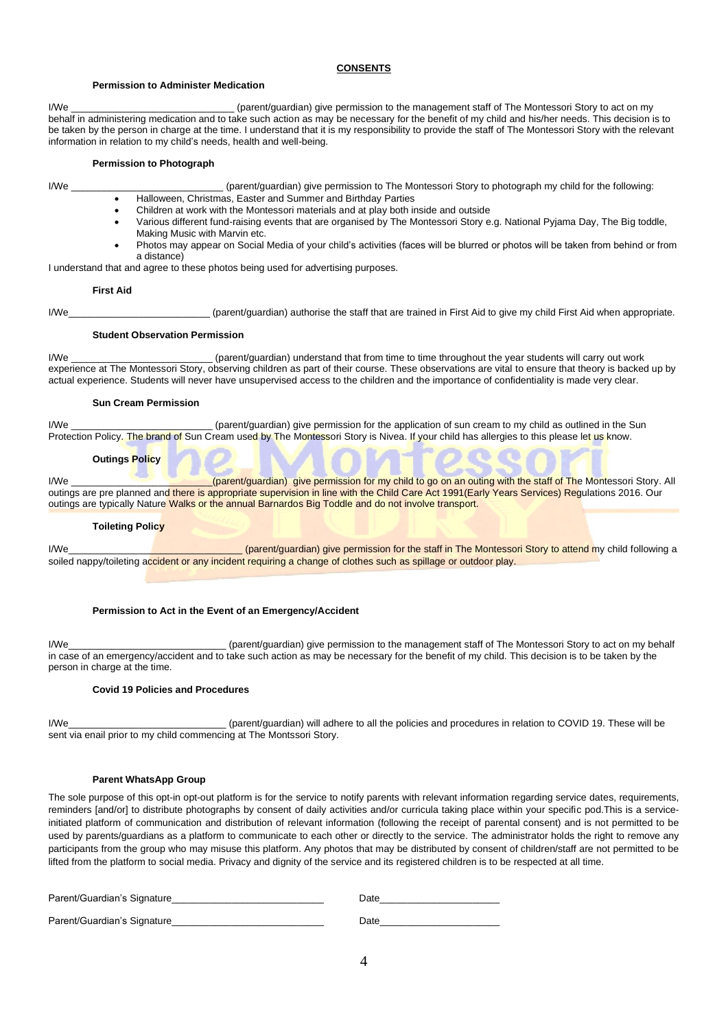#### **CONSENTS**

#### **Permission to Administer Medication**

I/We **I/We Example 10** (parent/quardian) give permission to the management staff of The Montessori Story to act on my behalf in administering medication and to take such action as may be necessary for the benefit of my child and his/her needs. This decision is to be taken by the person in charge at the time. I understand that it is my responsibility to provide the staff of The Montessori Story with the relevant information in relation to my child's needs, health and well-being.

#### **Permission to Photograph**

- 
- I/We \_\_\_\_\_\_\_\_\_\_\_\_\_\_\_\_\_\_\_\_\_\_\_\_\_\_\_\_ (parent/guardian) give permission to The Montessori Story to photograph my child for the following:
	- Halloween, Christmas, Easter and Summer and Birthday Parties
	- Children at work with the Montessori materials and at play both inside and outside
	- Various different fund-raising events that are organised by The Montessori Story e.g. National Pyjama Day, The Big toddle, Making Music with Marvin etc.
	- Photos may appear on Social Media of your child's activities (faces will be blurred or photos will be taken from behind or from a distance)

I understand that and agree to these photos being used for advertising purposes.

#### **First Aid**

I/We state of parent/guardian) authorise the staff that are trained in First Aid to give my child First Aid when appropriate.

#### **Student Observation Permission**

I/We \_\_\_\_\_\_\_\_\_\_\_\_\_\_\_\_\_\_\_\_\_\_\_\_\_\_ (parent/guardian) understand that from time to time throughout the year students will carry out work experience at The Montessori Story, observing children as part of their course. These observations are vital to ensure that theory is backed up by actual experience. Students will never have unsupervised access to the children and the importance of confidentiality is made very clear.

#### **Sun Cream Permission**

I/We **interprettion** (parent/guardian) give permission for the application of sun cream to my child as outlined in the Sun Protection Policy. The brand of Sun Cream used by The Montessori Story is Nivea. If your child has allergies to this please let us know.

#### **Outings Policy**

I/We \_\_\_\_\_\_\_\_\_\_\_\_\_\_\_\_\_\_\_\_\_\_\_\_\_\_(parent/guardian) give permission for my child to go on an outing with the staff of The Montessori Story. All outings are pre planned and there is appropriate supervision in line with the Child Care Act 1991(Early Years Services) Regulations 2016. Our outings are typically Nature Walks or the annual Barnardos Big Toddle and do not involve transport.

#### **Toileting Policy**

I/We\_\_\_\_\_\_\_\_\_\_\_\_\_\_\_\_\_\_\_\_\_\_\_\_\_\_\_\_\_\_\_\_ (parent/guardian) give permission for the staff in The Montessori Story to attend my child following a soiled nappy/toileting accident or any incident requiring a change of clothes such as spillage or outdoor play.

## **Permission to Act in the Event of an Emergency/Accident**

I/We\_\_\_\_\_\_\_\_\_\_\_\_\_\_\_\_\_\_\_\_\_\_\_\_\_\_\_\_\_ (parent/guardian) give permission to the management staff of The Montessori Story to act on my behalf in case of an emergency/accident and to take such action as may be necessary for the benefit of my child. This decision is to be taken by the person in charge at the time.

### **Covid 19 Policies and Procedures**

I/We\_\_\_\_\_\_\_\_\_\_\_\_\_\_\_\_\_\_\_\_\_\_\_\_\_\_\_\_\_ (parent/guardian) will adhere to all the policies and procedures in relation to COVID 19. These will be sent via enail prior to my child commencing at The Montssori Story.

#### **Parent WhatsApp Group**

The sole purpose of this opt-in opt-out platform is for the service to notify parents with relevant information regarding service dates, requirements, reminders [and/or] to distribute photographs by consent of daily activities and/or curricula taking place within your specific pod.This is a serviceinitiated platform of communication and distribution of relevant information (following the receipt of parental consent) and is not permitted to be used by parents/guardians as a platform to communicate to each other or directly to the service. The administrator holds the right to remove any participants from the group who may misuse this platform. Any photos that may be distributed by consent of children/staff are not permitted to be lifted from the platform to social media. Privacy and dignity of the service and its registered children is to be respected at all time.

| Parent/Guardian's Signature | Date |
|-----------------------------|------|
| Parent/Guardian's Signature | Date |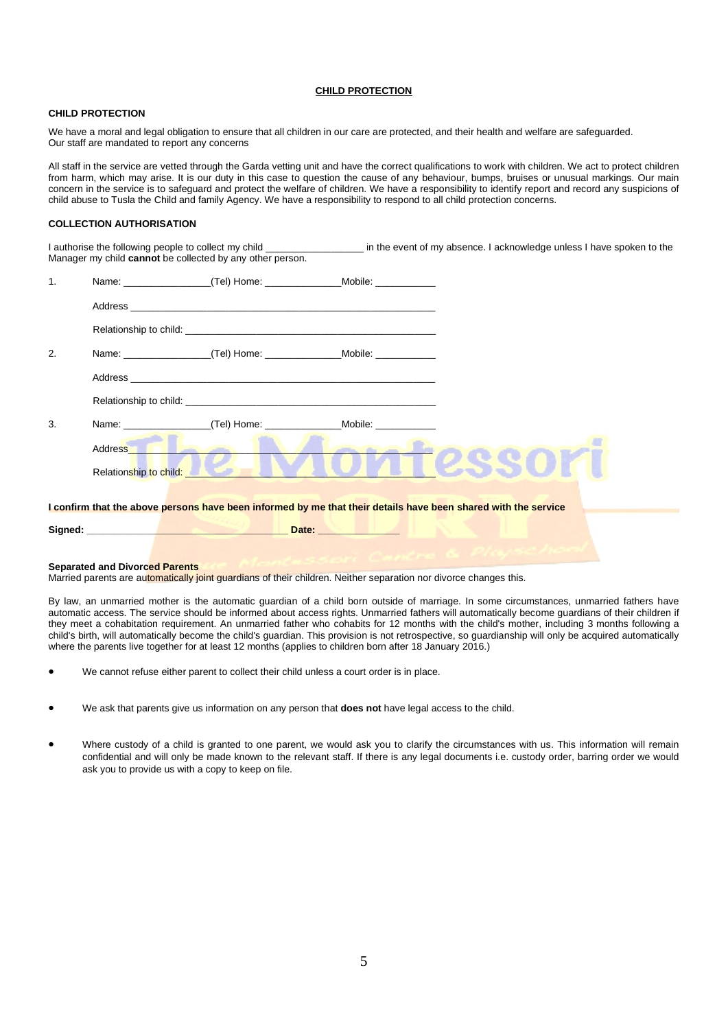### **CHILD PROTECTION**

#### **CHILD PROTECTION**

We have a moral and legal obligation to ensure that all children in our care are protected, and their health and welfare are safeguarded. Our staff are mandated to report any concerns

All staff in the service are vetted through the Garda vetting unit and have the correct qualifications to work with children. We act to protect children from harm, which may arise. It is our duty in this case to question the cause of any behaviour, bumps, bruises or unusual markings. Our main concern in the service is to safeguard and protect the welfare of children. We have a responsibility to identify report and record any suspicions of child abuse to Tusla the Child and family Agency. We have a responsibility to respond to all child protection concerns.

## **COLLECTION AUTHORISATION**

I authorise the following people to collect my child \_\_\_\_\_\_\_\_\_\_\_\_\_\_\_\_\_\_\_\_\_\_\_\_\_\_\_\_ in the event of my absence. I acknowledge unless I have spoken to the Manager my child **cannot** be collected by any other person.

| $\mathbf{1}$ . |                                                         | Name: ____________________(Tel) Home: __________________Mobile: ________________                               |                       |  |
|----------------|---------------------------------------------------------|----------------------------------------------------------------------------------------------------------------|-----------------------|--|
|                |                                                         |                                                                                                                |                       |  |
|                |                                                         |                                                                                                                |                       |  |
| 2.             |                                                         |                                                                                                                |                       |  |
|                |                                                         |                                                                                                                |                       |  |
|                |                                                         |                                                                                                                |                       |  |
| 3.             |                                                         | Name: (Tel) Home:                                                                                              | Mobile: <b>Mobile</b> |  |
|                | Address <b>Container the Contact of Contact Address</b> |                                                                                                                |                       |  |
|                | Relationship to child: <b>All and School School</b>     |                                                                                                                |                       |  |
|                |                                                         | I confirm that the above persons have been informed by me that their details have been shared with the service |                       |  |
|                |                                                         |                                                                                                                | Date: <b>Date:</b>    |  |
|                |                                                         |                                                                                                                |                       |  |

**Separated and Divorced Parents** Married parents are automatically joint guardians of their children. Neither separation nor divorce changes this.

By law, an unmarried mother is the automatic guardian of a child born outside of marriage. In some circumstances, unmarried fathers have automatic access. The service should be informed about access rights. Unmarried fathers will automatically become guardians of their children if they meet a cohabitation requirement. An unmarried father who cohabits for 12 months with the child's mother, including 3 months following a child's birth, will automatically become the child's guardian. This provision is not retrospective, so guardianship will only be acquired automatically where the parents live together for at least 12 months (applies to children born after 18 January 2016.)

- We cannot refuse either parent to collect their child unless a court order is in place.
- We ask that parents give us information on any person that **does not** have legal access to the child.
- Where custody of a child is granted to one parent, we would ask you to clarify the circumstances with us. This information will remain confidential and will only be made known to the relevant staff. If there is any legal documents i.e. custody order, barring order we would ask you to provide us with a copy to keep on file.